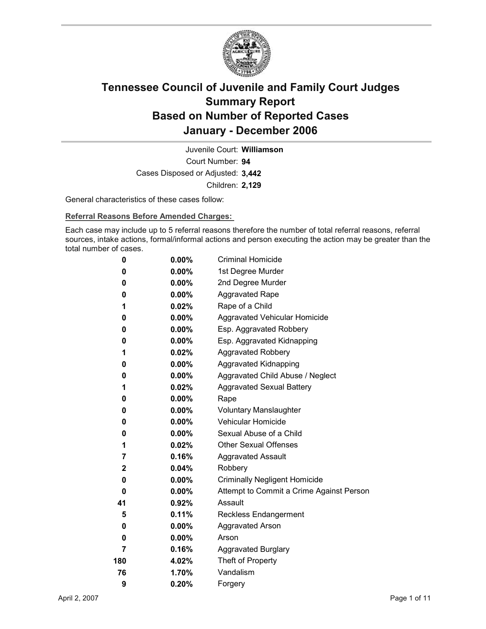

Court Number: **94** Juvenile Court: **Williamson** Cases Disposed or Adjusted: **3,442** Children: **2,129**

General characteristics of these cases follow:

**Referral Reasons Before Amended Charges:** 

Each case may include up to 5 referral reasons therefore the number of total referral reasons, referral sources, intake actions, formal/informal actions and person executing the action may be greater than the total number of cases.

| 0   | 0.00%    | <b>Criminal Homicide</b>                 |
|-----|----------|------------------------------------------|
| 0   | $0.00\%$ | 1st Degree Murder                        |
| 0   | $0.00\%$ | 2nd Degree Murder                        |
| 0   | $0.00\%$ | <b>Aggravated Rape</b>                   |
| 1   | 0.02%    | Rape of a Child                          |
| 0   | $0.00\%$ | Aggravated Vehicular Homicide            |
| 0   | $0.00\%$ | Esp. Aggravated Robbery                  |
| 0   | $0.00\%$ | Esp. Aggravated Kidnapping               |
| 1   | 0.02%    | <b>Aggravated Robbery</b>                |
| 0   | $0.00\%$ | <b>Aggravated Kidnapping</b>             |
| 0   | $0.00\%$ | Aggravated Child Abuse / Neglect         |
| 1   | 0.02%    | <b>Aggravated Sexual Battery</b>         |
| 0   | 0.00%    | Rape                                     |
| 0   | $0.00\%$ | <b>Voluntary Manslaughter</b>            |
| 0   | $0.00\%$ | <b>Vehicular Homicide</b>                |
| 0   | $0.00\%$ | Sexual Abuse of a Child                  |
| 1   | 0.02%    | <b>Other Sexual Offenses</b>             |
| 7   | $0.16\%$ | <b>Aggravated Assault</b>                |
| 2   | 0.04%    | Robbery                                  |
| 0   | $0.00\%$ | <b>Criminally Negligent Homicide</b>     |
| 0   | $0.00\%$ | Attempt to Commit a Crime Against Person |
| 41  | 0.92%    | Assault                                  |
| 5   | 0.11%    | <b>Reckless Endangerment</b>             |
| 0   | $0.00\%$ | <b>Aggravated Arson</b>                  |
| 0   | 0.00%    | Arson                                    |
| 7   | 0.16%    | <b>Aggravated Burglary</b>               |
| 180 | 4.02%    | Theft of Property                        |
| 76  | 1.70%    | Vandalism                                |
| 9   | 0.20%    | Forgery                                  |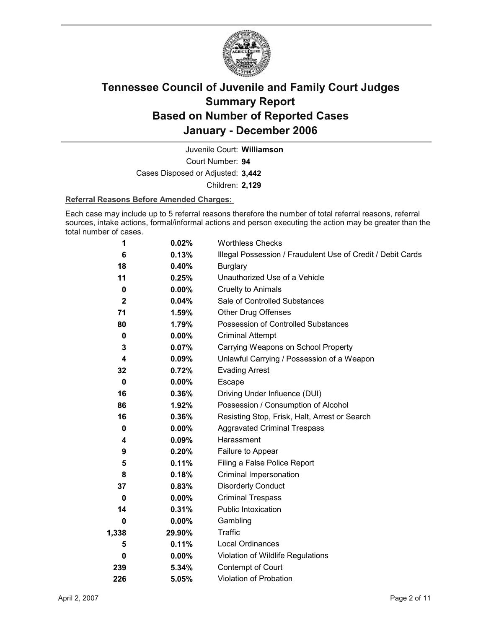

Court Number: **94** Juvenile Court: **Williamson** Cases Disposed or Adjusted: **3,442**

Children: **2,129**

#### **Referral Reasons Before Amended Charges:**

Each case may include up to 5 referral reasons therefore the number of total referral reasons, referral sources, intake actions, formal/informal actions and person executing the action may be greater than the total number of cases.

| 1           | 0.02%    | <b>Worthless Checks</b>                                     |
|-------------|----------|-------------------------------------------------------------|
| 6           | 0.13%    | Illegal Possession / Fraudulent Use of Credit / Debit Cards |
| 18          | 0.40%    | <b>Burglary</b>                                             |
| 11          | 0.25%    | Unauthorized Use of a Vehicle                               |
| 0           | $0.00\%$ | Cruelty to Animals                                          |
| $\mathbf 2$ | 0.04%    | Sale of Controlled Substances                               |
| 71          | 1.59%    | <b>Other Drug Offenses</b>                                  |
| 80          | 1.79%    | Possession of Controlled Substances                         |
| 0           | $0.00\%$ | <b>Criminal Attempt</b>                                     |
| 3           | 0.07%    | Carrying Weapons on School Property                         |
| 4           | 0.09%    | Unlawful Carrying / Possession of a Weapon                  |
| 32          | 0.72%    | <b>Evading Arrest</b>                                       |
| $\bf{0}$    | $0.00\%$ | <b>Escape</b>                                               |
| 16          | $0.36\%$ | Driving Under Influence (DUI)                               |
| 86          | 1.92%    | Possession / Consumption of Alcohol                         |
| 16          | 0.36%    | Resisting Stop, Frisk, Halt, Arrest or Search               |
| 0           | $0.00\%$ | <b>Aggravated Criminal Trespass</b>                         |
| 4           | $0.09\%$ | Harassment                                                  |
| 9           | 0.20%    | Failure to Appear                                           |
| 5           | 0.11%    | Filing a False Police Report                                |
| 8           | 0.18%    | Criminal Impersonation                                      |
| 37          | 0.83%    | <b>Disorderly Conduct</b>                                   |
| 0           | 0.00%    | <b>Criminal Trespass</b>                                    |
| 14          | 0.31%    | <b>Public Intoxication</b>                                  |
| 0           | $0.00\%$ | Gambling                                                    |
| 1,338       | 29.90%   | Traffic                                                     |
| 5           | 0.11%    | <b>Local Ordinances</b>                                     |
| 0           | $0.00\%$ | Violation of Wildlife Regulations                           |
| 239         | 5.34%    | Contempt of Court                                           |
| 226         | 5.05%    | <b>Violation of Probation</b>                               |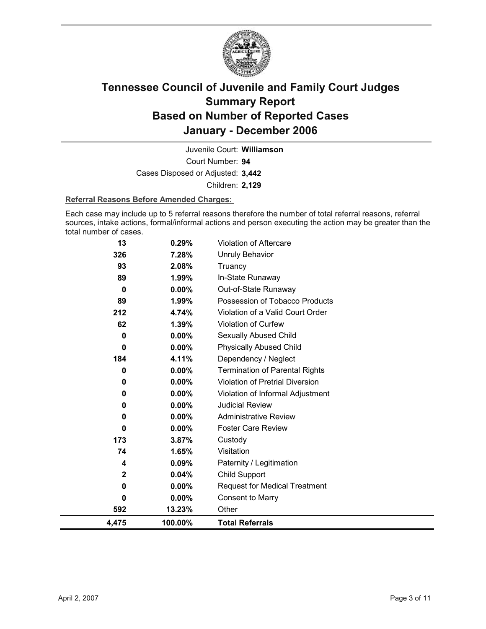

Court Number: **94** Juvenile Court: **Williamson** Cases Disposed or Adjusted: **3,442** Children: **2,129**

#### **Referral Reasons Before Amended Charges:**

Each case may include up to 5 referral reasons therefore the number of total referral reasons, referral sources, intake actions, formal/informal actions and person executing the action may be greater than the total number of cases.

| 4,475     | 100.00%        | <b>Total Referrals</b>                 |
|-----------|----------------|----------------------------------------|
| 592       | 13.23%         | Other                                  |
| 0         | $0.00\%$       | <b>Consent to Marry</b>                |
| 0         | $0.00\%$       | <b>Request for Medical Treatment</b>   |
| 2         | 0.04%          | <b>Child Support</b>                   |
| 4         | 0.09%          | Paternity / Legitimation               |
| 74        | 1.65%          | Visitation                             |
| 173       | 3.87%          | Custody                                |
| 0         | $0.00\%$       | <b>Foster Care Review</b>              |
| 0         | 0.00%          | <b>Administrative Review</b>           |
| 0         | $0.00\%$       | <b>Judicial Review</b>                 |
| 0         | $0.00\%$       | Violation of Informal Adjustment       |
| 0         | 0.00%          | <b>Violation of Pretrial Diversion</b> |
| 0         | 0.00%          | <b>Termination of Parental Rights</b>  |
| 184       | 4.11%          | Dependency / Neglect                   |
| 0         | $0.00\%$       | <b>Physically Abused Child</b>         |
| 0         | 0.00%          | Sexually Abused Child                  |
| 62        | 1.39%          | Violation of Curfew                    |
| 212       | 4.74%          | Violation of a Valid Court Order       |
| 89        | 1.99%          | Possession of Tobacco Products         |
| $\bf{0}$  | $0.00\%$       | Out-of-State Runaway                   |
| 89        | 1.99%          | In-State Runaway                       |
| 326<br>93 | 7.28%<br>2.08% | <b>Unruly Behavior</b><br>Truancy      |
|           |                |                                        |
| 13        | 0.29%          | Violation of Aftercare                 |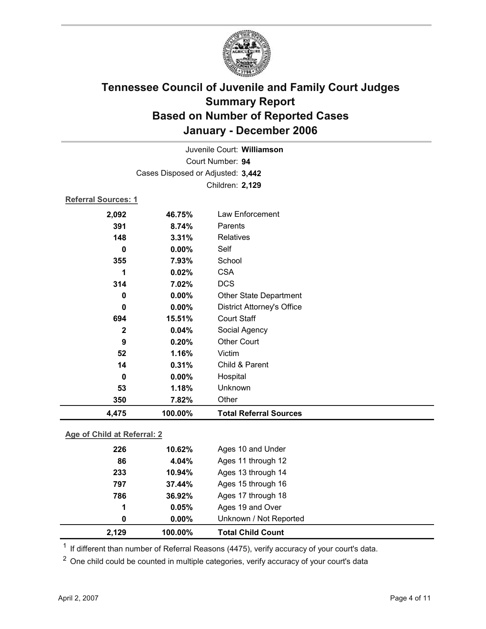

|                            |                                   | Juvenile Court: Williamson        |  |
|----------------------------|-----------------------------------|-----------------------------------|--|
|                            | Court Number: 94                  |                                   |  |
|                            | Cases Disposed or Adjusted: 3,442 |                                   |  |
|                            |                                   | Children: 2,129                   |  |
| <b>Referral Sources: 1</b> |                                   |                                   |  |
| 2,092                      | 46.75%                            | Law Enforcement                   |  |
| 391                        | 8.74%                             | Parents                           |  |
| 148                        | 3.31%                             | <b>Relatives</b>                  |  |
| $\bf{0}$                   | 0.00%                             | Self                              |  |
| 355                        | 7.93%                             | School                            |  |
| 1                          | 0.02%                             | <b>CSA</b>                        |  |
| 314                        | 7.02%                             | <b>DCS</b>                        |  |
| 0                          | 0.00%                             | Other State Department            |  |
| 0                          | 0.00%                             | <b>District Attorney's Office</b> |  |
| 694                        | 15.51%                            | <b>Court Staff</b>                |  |
| $\mathbf{2}$               | 0.04%                             | Social Agency                     |  |
| 9                          | 0.20%                             | <b>Other Court</b>                |  |
| 52                         | 1.16%                             | Victim                            |  |
| 14                         | 0.31%                             | Child & Parent                    |  |
| $\bf{0}$                   | 0.00%                             | Hospital                          |  |
| 53                         | 1.18%                             | Unknown                           |  |
| 350                        | 7.82%                             | Other                             |  |
| 4,475                      | 100.00%                           | <b>Total Referral Sources</b>     |  |
|                            |                                   |                                   |  |

#### **Age of Child at Referral: 2**

| 2,129 | 100.00%       | <b>Total Child Count</b> |
|-------|---------------|--------------------------|
|       | $0.00\%$<br>0 | Unknown / Not Reported   |
|       | 0.05%<br>1    | Ages 19 and Over         |
| 786   | 36.92%        | Ages 17 through 18       |
| 797   | 37.44%        | Ages 15 through 16       |
| 233   | 10.94%        | Ages 13 through 14       |
| 86    | 4.04%         | Ages 11 through 12       |
| 226   | 10.62%        | Ages 10 and Under        |
|       |               |                          |

 $1$  If different than number of Referral Reasons (4475), verify accuracy of your court's data.

<sup>2</sup> One child could be counted in multiple categories, verify accuracy of your court's data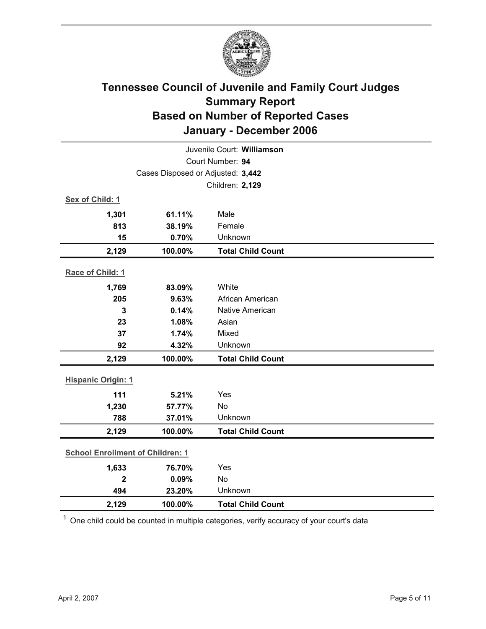

| Juvenile Court: Williamson              |                                   |                          |  |  |
|-----------------------------------------|-----------------------------------|--------------------------|--|--|
| Court Number: 94                        |                                   |                          |  |  |
|                                         | Cases Disposed or Adjusted: 3,442 |                          |  |  |
|                                         |                                   | Children: 2,129          |  |  |
| Sex of Child: 1                         |                                   |                          |  |  |
| 1,301                                   | 61.11%                            | Male                     |  |  |
| 813                                     | 38.19%                            | Female                   |  |  |
| 15                                      | 0.70%                             | Unknown                  |  |  |
| 2,129                                   | 100.00%                           | <b>Total Child Count</b> |  |  |
| Race of Child: 1                        |                                   |                          |  |  |
| 1,769                                   | 83.09%                            | White                    |  |  |
| 205                                     | 9.63%                             | African American         |  |  |
| 3                                       | 0.14%                             | Native American          |  |  |
| 23                                      | 1.08%                             | Asian                    |  |  |
| 37                                      | 1.74%                             | Mixed                    |  |  |
| 92                                      | 4.32%                             | Unknown                  |  |  |
| 2,129                                   | 100.00%                           | <b>Total Child Count</b> |  |  |
| <b>Hispanic Origin: 1</b>               |                                   |                          |  |  |
| 111                                     | 5.21%                             | Yes                      |  |  |
| 1,230                                   | 57.77%                            | No                       |  |  |
| 788                                     | 37.01%                            | Unknown                  |  |  |
| 2,129                                   | 100.00%                           | <b>Total Child Count</b> |  |  |
| <b>School Enrollment of Children: 1</b> |                                   |                          |  |  |
| 1,633                                   | 76.70%                            | Yes                      |  |  |
| $\overline{\mathbf{2}}$                 | 0.09%                             | No                       |  |  |
| 494                                     | 23.20%                            | Unknown                  |  |  |
| 2,129                                   | 100.00%                           | <b>Total Child Count</b> |  |  |

 $1$  One child could be counted in multiple categories, verify accuracy of your court's data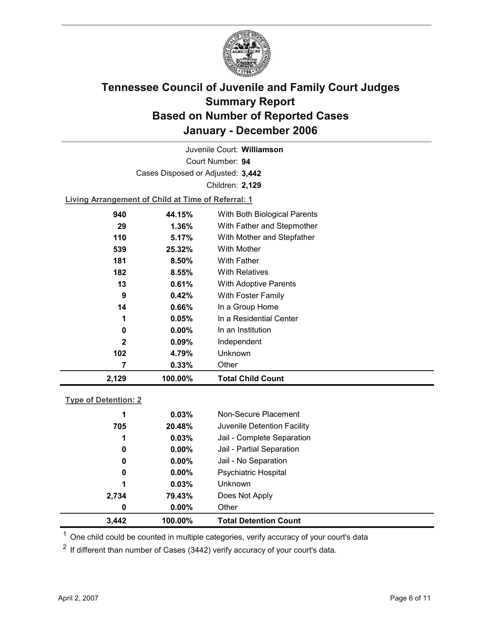

Court Number: **94** Juvenile Court: **Williamson** Cases Disposed or Adjusted: **3,442** Children: **2,129**

**Living Arrangement of Child at Time of Referral: 1**

| 2,129        | 100.00%  | <b>Total Child Count</b>     |
|--------------|----------|------------------------------|
| 7            | 0.33%    | Other                        |
| 102          | 4.79%    | <b>Unknown</b>               |
| $\mathbf{2}$ | $0.09\%$ | Independent                  |
| 0            | $0.00\%$ | In an Institution            |
| 1            | 0.05%    | In a Residential Center      |
| 14           | $0.66\%$ | In a Group Home              |
| 9            | 0.42%    | With Foster Family           |
| 13           | 0.61%    | <b>With Adoptive Parents</b> |
| 182          | 8.55%    | <b>With Relatives</b>        |
| 181          | 8.50%    | <b>With Father</b>           |
| 539          | 25.32%   | <b>With Mother</b>           |
| 110          | 5.17%    | With Mother and Stepfather   |
| 29           | 1.36%    | With Father and Stepmother   |
| 940          | 44.15%   | With Both Biological Parents |
|              |          |                              |

#### **Type of Detention: 2**

| 3,442 | 100.00%       | <b>Total Detention Count</b> |
|-------|---------------|------------------------------|
|       | $0.00\%$<br>0 | Other                        |
| 2,734 | 79.43%        | Does Not Apply               |
|       | 1<br>0.03%    | <b>Unknown</b>               |
|       | $0.00\%$<br>0 | <b>Psychiatric Hospital</b>  |
|       | $0.00\%$<br>0 | Jail - No Separation         |
|       | 0<br>$0.00\%$ | Jail - Partial Separation    |
|       | 0.03%<br>1    | Jail - Complete Separation   |
| 705   | 20.48%        | Juvenile Detention Facility  |
|       | 0.03%<br>1    | Non-Secure Placement         |
|       |               |                              |

 $<sup>1</sup>$  One child could be counted in multiple categories, verify accuracy of your court's data</sup>

 $2$  If different than number of Cases (3442) verify accuracy of your court's data.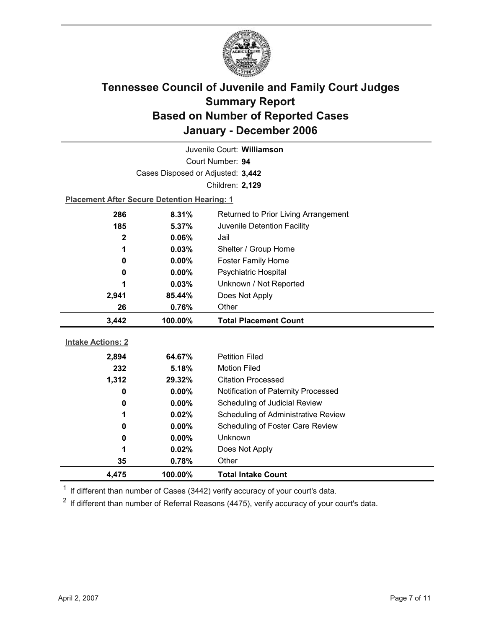

| Juvenile Court: Williamson |                                                    |                                     |  |  |
|----------------------------|----------------------------------------------------|-------------------------------------|--|--|
| Court Number: 94           |                                                    |                                     |  |  |
|                            | Cases Disposed or Adjusted: 3,442                  |                                     |  |  |
|                            |                                                    | Children: 2,129                     |  |  |
|                            | <b>Placement After Secure Detention Hearing: 1</b> |                                     |  |  |
| 286                        | 8.31%<br>Returned to Prior Living Arrangement      |                                     |  |  |
| 185                        | 5.37%<br>Juvenile Detention Facility               |                                     |  |  |
| $\mathbf 2$                | 0.06%                                              | Jail                                |  |  |
| 1                          | 0.03%                                              | Shelter / Group Home                |  |  |
| 0                          | 0.00%                                              | <b>Foster Family Home</b>           |  |  |
| 0                          | $0.00\%$                                           | <b>Psychiatric Hospital</b>         |  |  |
| 1                          | 0.03%                                              | Unknown / Not Reported              |  |  |
| 2,941                      | 85.44%                                             | Does Not Apply                      |  |  |
| 26                         | 0.76%                                              | Other                               |  |  |
|                            |                                                    |                                     |  |  |
| 3,442                      | 100.00%                                            | <b>Total Placement Count</b>        |  |  |
|                            |                                                    |                                     |  |  |
| <b>Intake Actions: 2</b>   |                                                    |                                     |  |  |
| 2,894                      | 64.67%                                             | <b>Petition Filed</b>               |  |  |
| 232                        | 5.18%                                              | <b>Motion Filed</b>                 |  |  |
| 1,312                      | 29.32%                                             | <b>Citation Processed</b>           |  |  |
| 0                          | $0.00\%$                                           | Notification of Paternity Processed |  |  |
| 0                          | 0.00%                                              | Scheduling of Judicial Review       |  |  |
| 1                          | 0.02%                                              | Scheduling of Administrative Review |  |  |
| 0                          | $0.00\%$                                           | Scheduling of Foster Care Review    |  |  |
| 0                          | 0.00%                                              | <b>Unknown</b>                      |  |  |
| 1                          | 0.02%                                              | Does Not Apply                      |  |  |
| 35<br>4,475                | 0.78%<br>100.00%                                   | Other<br><b>Total Intake Count</b>  |  |  |

 $1$  If different than number of Cases (3442) verify accuracy of your court's data.

 $2$  If different than number of Referral Reasons (4475), verify accuracy of your court's data.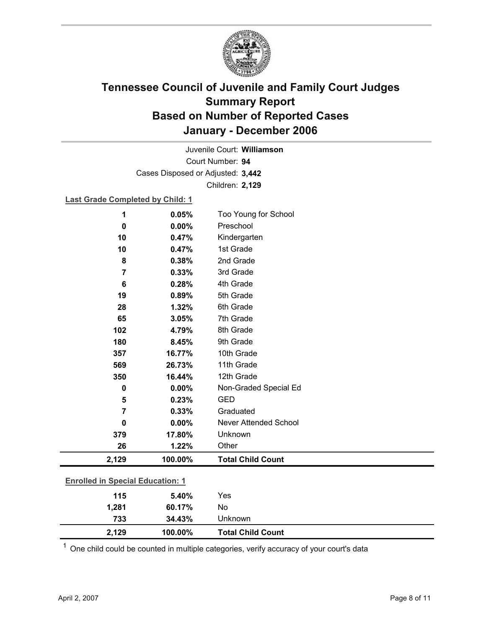

Court Number: **94** Juvenile Court: **Williamson** Cases Disposed or Adjusted: **3,442** Children: **2,129**

**Last Grade Completed by Child: 1**

| 1                                       | 0.05%   | Too Young for School     |
|-----------------------------------------|---------|--------------------------|
| 0                                       | 0.00%   | Preschool                |
| 10                                      | 0.47%   | Kindergarten             |
| 10                                      | 0.47%   | 1st Grade                |
| 8                                       | 0.38%   | 2nd Grade                |
| $\overline{7}$                          | 0.33%   | 3rd Grade                |
| $6\phantom{1}6$                         | 0.28%   | 4th Grade                |
| 19                                      | 0.89%   | 5th Grade                |
| 28                                      | 1.32%   | 6th Grade                |
| 65                                      | 3.05%   | 7th Grade                |
| 102                                     | 4.79%   | 8th Grade                |
| 180                                     | 8.45%   | 9th Grade                |
| 357                                     | 16.77%  | 10th Grade               |
| 569                                     | 26.73%  | 11th Grade               |
| 350                                     | 16.44%  | 12th Grade               |
| $\mathbf 0$                             | 0.00%   | Non-Graded Special Ed    |
| 5                                       | 0.23%   | <b>GED</b>               |
| 7                                       | 0.33%   | Graduated                |
| 0                                       | 0.00%   | Never Attended School    |
| 379                                     | 17.80%  | Unknown                  |
| 26                                      | 1.22%   | Other                    |
| 2,129                                   | 100.00% | <b>Total Child Count</b> |
| <b>Enrolled in Special Education: 1</b> |         |                          |
| 115                                     | 5.40%   | Yes                      |
| 1,281                                   | 60.17%  | No                       |
| 733                                     | 34.43%  | Unknown                  |

 $1$  One child could be counted in multiple categories, verify accuracy of your court's data

**2,129 100.00% Total Child Count**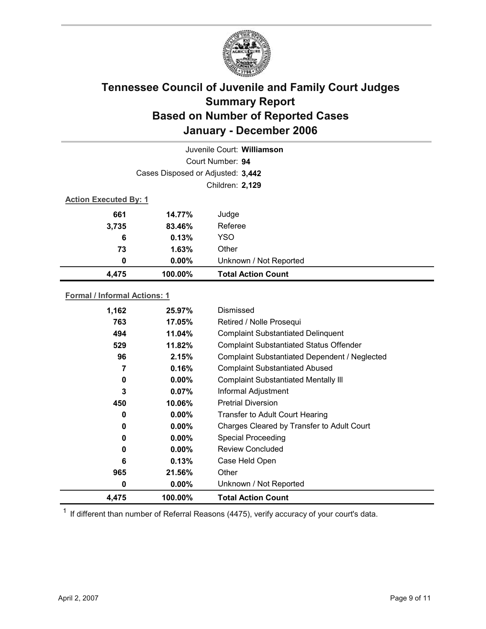

|                              |                                   | Juvenile Court: Williamson |  |
|------------------------------|-----------------------------------|----------------------------|--|
|                              |                                   | Court Number: 94           |  |
|                              | Cases Disposed or Adjusted: 3,442 |                            |  |
|                              |                                   | Children: 2,129            |  |
| <b>Action Executed By: 1</b> |                                   |                            |  |
| 661                          | 14.77%                            | Judge                      |  |
| 3,735                        | 83.46%                            | Referee                    |  |
| 6                            | 0.13%                             | <b>YSO</b>                 |  |
| 73                           | 1.63%                             | Other                      |  |
| 0                            | $0.00\%$                          | Unknown / Not Reported     |  |
| 4,475                        | 100.00%                           | <b>Total Action Count</b>  |  |
|                              |                                   |                            |  |

#### **Formal / Informal Actions: 1**

| 1,162 | 25.97%   | Dismissed                                      |
|-------|----------|------------------------------------------------|
| 763   | 17.05%   | Retired / Nolle Prosequi                       |
| 494   | 11.04%   | <b>Complaint Substantiated Delinquent</b>      |
| 529   | 11.82%   | <b>Complaint Substantiated Status Offender</b> |
| 96    | 2.15%    | Complaint Substantiated Dependent / Neglected  |
| 7     | 0.16%    | <b>Complaint Substantiated Abused</b>          |
| 0     | $0.00\%$ | <b>Complaint Substantiated Mentally III</b>    |
| 3     | $0.07\%$ | Informal Adjustment                            |
| 450   | 10.06%   | <b>Pretrial Diversion</b>                      |
| 0     | $0.00\%$ | <b>Transfer to Adult Court Hearing</b>         |
| 0     | $0.00\%$ | Charges Cleared by Transfer to Adult Court     |
| 0     | $0.00\%$ | <b>Special Proceeding</b>                      |
| 0     | $0.00\%$ | <b>Review Concluded</b>                        |
| 6     | 0.13%    | Case Held Open                                 |
| 965   | 21.56%   | Other                                          |
| 0     | $0.00\%$ | Unknown / Not Reported                         |
| 4.475 | 100.00%  | <b>Total Action Count</b>                      |

 $1$  If different than number of Referral Reasons (4475), verify accuracy of your court's data.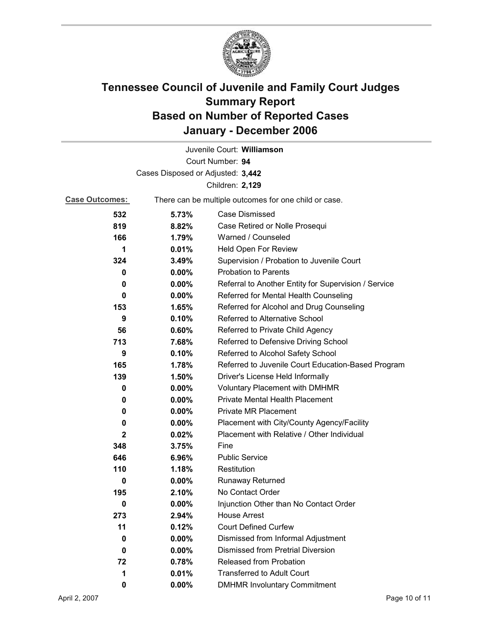

| Juvenile Court: Williamson        |          |                                                       |  |
|-----------------------------------|----------|-------------------------------------------------------|--|
| Court Number: 94                  |          |                                                       |  |
| Cases Disposed or Adjusted: 3,442 |          |                                                       |  |
| Children: 2,129                   |          |                                                       |  |
| <b>Case Outcomes:</b>             |          | There can be multiple outcomes for one child or case. |  |
| 532                               | 5.73%    | <b>Case Dismissed</b>                                 |  |
| 819                               | 8.82%    | Case Retired or Nolle Prosequi                        |  |
| 166                               | 1.79%    | Warned / Counseled                                    |  |
| 1                                 | 0.01%    | Held Open For Review                                  |  |
| 324                               | 3.49%    | Supervision / Probation to Juvenile Court             |  |
| 0                                 | $0.00\%$ | <b>Probation to Parents</b>                           |  |
| 0                                 | $0.00\%$ | Referral to Another Entity for Supervision / Service  |  |
| 0                                 | $0.00\%$ | Referred for Mental Health Counseling                 |  |
| 153                               | 1.65%    | Referred for Alcohol and Drug Counseling              |  |
| 9                                 | 0.10%    | Referred to Alternative School                        |  |
| 56                                | $0.60\%$ | Referred to Private Child Agency                      |  |
| 713                               | 7.68%    | Referred to Defensive Driving School                  |  |
| 9                                 | 0.10%    | Referred to Alcohol Safety School                     |  |
| 165                               | 1.78%    | Referred to Juvenile Court Education-Based Program    |  |
| 139                               | $1.50\%$ | Driver's License Held Informally                      |  |
| 0                                 | $0.00\%$ | <b>Voluntary Placement with DMHMR</b>                 |  |
| 0                                 | $0.00\%$ | <b>Private Mental Health Placement</b>                |  |
| 0                                 | $0.00\%$ | <b>Private MR Placement</b>                           |  |
| 0                                 | $0.00\%$ | Placement with City/County Agency/Facility            |  |
| $\mathbf{2}$                      | 0.02%    | Placement with Relative / Other Individual            |  |
| 348                               | 3.75%    | Fine                                                  |  |
| 646                               | 6.96%    | <b>Public Service</b>                                 |  |
| 110                               | 1.18%    | Restitution                                           |  |
| 0                                 | $0.00\%$ | <b>Runaway Returned</b>                               |  |
| 195                               | 2.10%    | No Contact Order                                      |  |
| 0                                 | 0.00%    | Injunction Other than No Contact Order                |  |
| 273                               | 2.94%    | <b>House Arrest</b>                                   |  |
| 11                                | 0.12%    | <b>Court Defined Curfew</b>                           |  |
| 0                                 | $0.00\%$ | Dismissed from Informal Adjustment                    |  |
| 0                                 | $0.00\%$ | <b>Dismissed from Pretrial Diversion</b>              |  |
| 72                                | 0.78%    | Released from Probation                               |  |
| 1                                 | 0.01%    | <b>Transferred to Adult Court</b>                     |  |
| 0                                 | $0.00\%$ | <b>DMHMR Involuntary Commitment</b>                   |  |